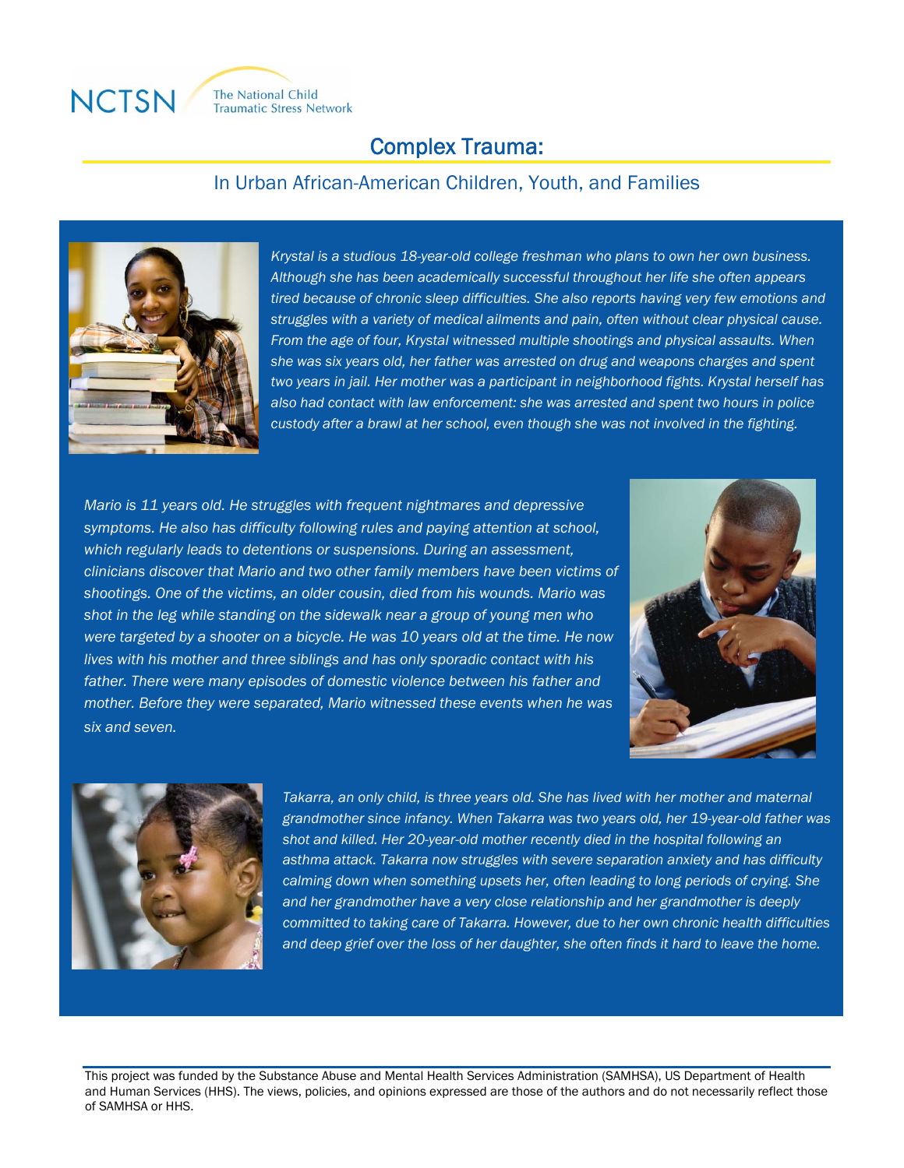

# Complex Trauma:

## In Urban African-American Children, Youth, and Families



 *Although she has been academically successful throughout her life she often appears struggles with a variety of medical ailments and pain, often without clear physical cause. From the age of four, Krystal witnessed multiple shootings and physical assaults. When two years in jail. Her mother was a participant in neighborhood fights. Krystal herself has custody after a brawl at her school, even though she was not involved in the fighting. Krystal is a studious 18-year-old college freshman who plans to own her own business. tired because of chronic sleep difficulties. She also reports having very few emotions and she was six years old, her father was arrested on drug and weapons charges and spent also had contact with law enforcement: she was arrested and spent two hours in police* 

 *Mario is 11 years old. He struggles with frequent nightmares and depressive symptoms. He also has difficulty following rules and paying attention at school, clinicians discover that Mario and two other family members have been victims of were targeted by a shooter on a bicycle. He was 10 years old at the time. He now mother. Before they were separated, Mario witnessed these events when he was which regularly leads to detentions or suspensions. During an assessment, shootings. One of the victims, an older cousin, died from his wounds. Mario was shot in the leg while standing on the sidewalk near a group of young men who lives with his mother and three siblings and has only sporadic contact with his father. There were many episodes of domestic violence between his father and six and seven.*





I

*Takarra, an only child, is three years old. She has lived with her mother and maternal grandmother since infancy. When Takarra was two years old, her 19-year-old father was shot and killed. Her 20-year-old mother recently died in the hospital following an asthma attack. Takarra now struggles with severe separation anxiety and has difficulty calming down when something upsets her, often leading to long periods of crying. She and her grandmother have a very close relationship and her grandmother is deeply committed to taking care of Takarra. However, due to her own chronic health difficulties and deep grief over the loss of her daughter, she often finds it hard to leave the home.* 

This project was funded by the Substance Abuse and Mental Health Services Administration (SAMHSA), US Department of Health and Human Services (HHS). The views, policies, and opinions expressed are those of the authors and do not necessarily reflect those of SAMHSA or HHS.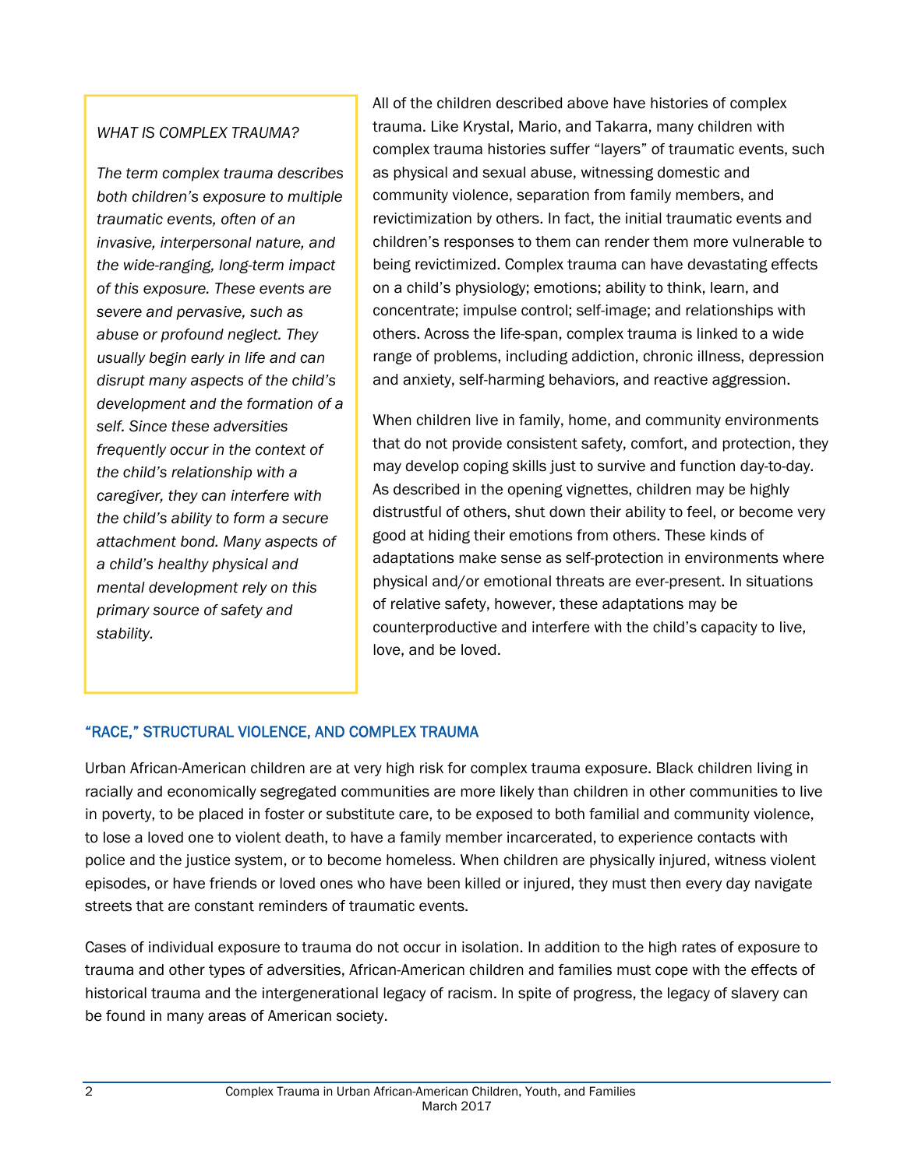### *WHAT IS COMPLEX TRAUMA?*

*The term complex trauma describes both children's exposure to multiple traumatic events, often of an invasive, interpersonal nature, and the wide-ranging, long-term impact of this exposure. These events are severe and pervasive, such as abuse or profound neglect. They usually begin early in life and can disrupt many aspects of the child's development and the formation of a self. Since these adversities frequently occur in the context of the child's relationship with a caregiver, they can interfere with the child's ability to form a secure attachment bond. Many aspects of a child's healthy physical and mental development rely on this primary source of safety and stability.*

All of the children described above have histories of complex trauma. Like Krystal, Mario, and Takarra, many children with complex trauma histories suffer "layers" of traumatic events, such as physical and sexual abuse, witnessing domestic and community violence, separation from family members, and revictimization by others. In fact, the initial traumatic events and children's responses to them can render them more vulnerable to being revictimized. Complex trauma can have devastating effects on a child's physiology; emotions; ability to think, learn, and concentrate; impulse control; self-image; and relationships with others. Across the life-span, complex trauma is linked to a wide range of problems, including addiction, chronic illness, depression and anxiety, self-harming behaviors, and reactive aggression.

When children live in family, home, and community environments that do not provide consistent safety, comfort, and protection, they may develop coping skills just to survive and function day-to-day. As described in the opening vignettes, children may be highly distrustful of others, shut down their ability to feel, or become very good at hiding their emotions from others. These kinds of adaptations make sense as self-protection in environments where physical and/or emotional threats are ever-present. In situations of relative safety, however, these adaptations may be counterproductive and interfere with the child's capacity to live, love, and be loved.

# "RACE," STRUCTURAL VIOLENCE, AND COMPLEX TRAUMA

Urban African-American children are at very high risk for complex trauma exposure. Black children living in racially and economically segregated communities are more likely than children in other communities to live in poverty, to be placed in foster or substitute care, to be exposed to both familial and community violence, to lose a loved one to violent death, to have a family member incarcerated, to experience contacts with police and the justice system, or to become homeless. When children are physically injured, witness violent episodes, or have friends or loved ones who have been killed or injured, they must then every day navigate streets that are constant reminders of traumatic events.

Cases of individual exposure to trauma do not occur in isolation. In addition to the high rates of exposure to trauma and other types of adversities, African-American children and families must cope with the effects of historical trauma and the intergenerational legacy of racism. In spite of progress, the legacy of slavery can be found in many areas of American society.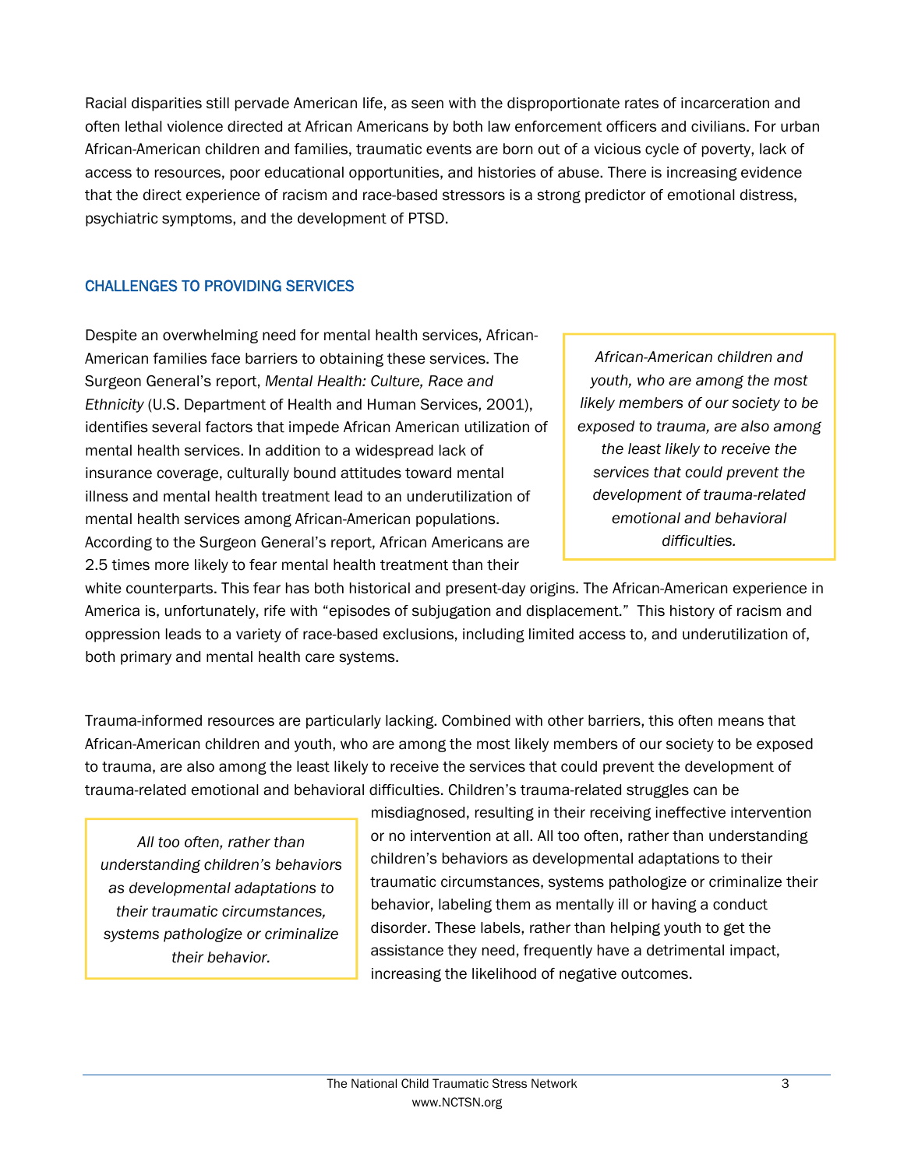Racial disparities still pervade American life, as seen with the disproportionate rates of incarceration and often lethal violence directed at African Americans by both law enforcement officers and civilians. For urban African-American children and families, traumatic events are born out of a vicious cycle of poverty, lack of access to resources, poor educational opportunities, and histories of abuse. There is increasing evidence that the direct experience of racism and race-based stressors is a strong predictor of emotional distress, psychiatric symptoms, and the development of PTSD.

## CHALLENGES TO PROVIDING SERVICES

Despite an overwhelming need for mental health services, African-American families face barriers to obtaining these services. The Surgeon General's report, *Mental Health: Culture, Race and Ethnicity* (U.S. Department of Health and Human Services, 2001), identifies several factors that impede African American utilization of mental health services. In addition to a widespread lack of insurance coverage, culturally bound attitudes toward mental illness and mental health treatment lead to an underutilization of mental health services among African-American populations. According to the Surgeon General's report, African Americans are 2.5 times more likely to fear mental health treatment than their

*African-American children and youth, who are among the most likely members of our society to be exposed to trauma, are also among the least likely to receive the services that could prevent the development of trauma-related emotional and behavioral difficulties.* 

white counterparts. This fear has both historical and present-day origins. The African-American experience in America is, unfortunately, rife with "episodes of subjugation and displacement." This history of racism and oppression leads to a variety of race-based exclusions, including limited access to, and underutilization of, both primary and mental health care systems.

Trauma-informed resources are particularly lacking. Combined with other barriers, this often means that African-American children and youth, who are among the most likely members of our society to be exposed to trauma, are also among the least likely to receive the services that could prevent the development of trauma-related emotional and behavioral difficulties. Children's trauma-related struggles can be

*All too often, rather than understanding children's behaviors as developmental adaptations to their traumatic circumstances, systems pathologize or criminalize their behavior.* 

misdiagnosed, resulting in their receiving ineffective intervention or no intervention at all. All too often, rather than understanding children's behaviors as developmental adaptations to their traumatic circumstances, systems pathologize or criminalize their behavior, labeling them as mentally ill or having a conduct disorder. These labels, rather than helping youth to get the assistance they need, frequently have a detrimental impact, increasing the likelihood of negative outcomes.